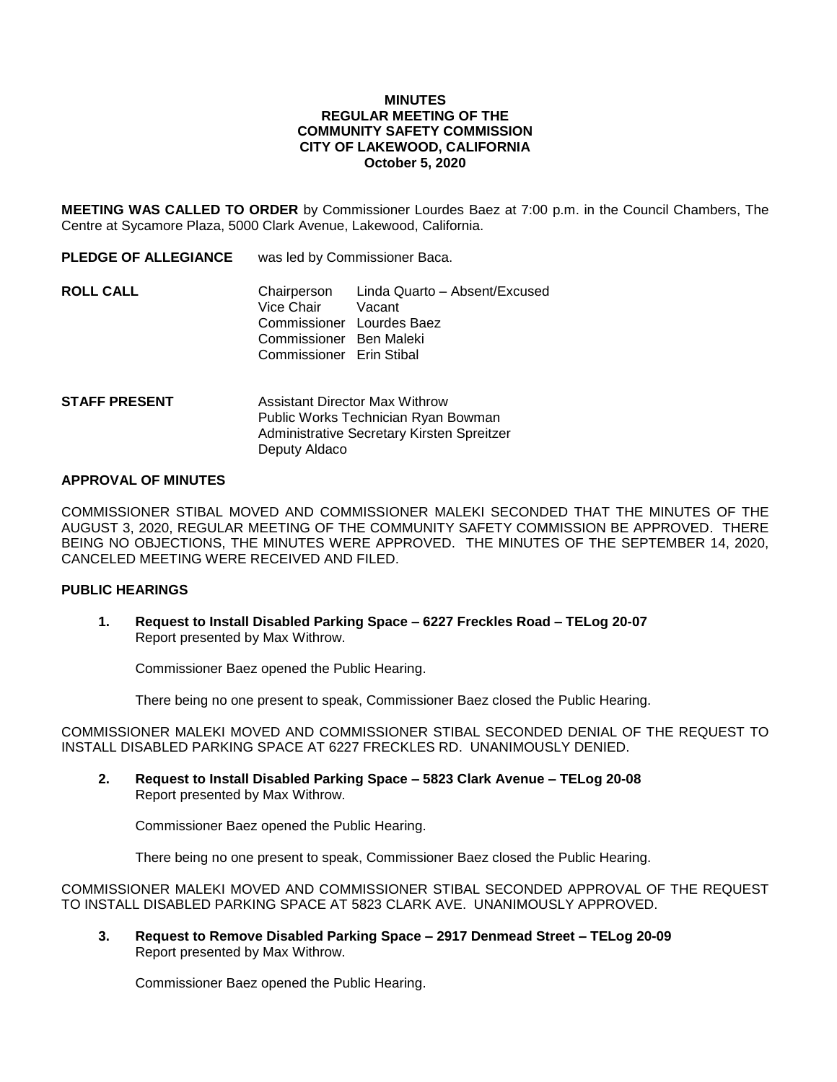# **MINUTES REGULAR MEETING OF THE COMMUNITY SAFETY COMMISSION CITY OF LAKEWOOD, CALIFORNIA October 5, 2020**

**MEETING WAS CALLED TO ORDER** by Commissioner Lourdes Baez at 7:00 p.m. in the Council Chambers, The Centre at Sycamore Plaza, 5000 Clark Avenue, Lakewood, California.

| <b>PLEDGE OF ALLEGIANCE</b> | was led by Commissioner Baca.                                                                         |                                           |
|-----------------------------|-------------------------------------------------------------------------------------------------------|-------------------------------------------|
| ROLL CALL                   | Vice Chair Vacant<br>Commissioner Lourdes Baez<br>Commissioner Ben Maleki<br>Commissioner Erin Stibal | Chairperson Linda Quarto - Absent/Excused |
|                             |                                                                                                       |                                           |

# **STAFF PRESENT** Assistant Director Max Withrow Public Works Technician Ryan Bowman Administrative Secretary Kirsten Spreitzer Deputy Aldaco

# **APPROVAL OF MINUTES**

COMMISSIONER STIBAL MOVED AND COMMISSIONER MALEKI SECONDED THAT THE MINUTES OF THE AUGUST 3, 2020, REGULAR MEETING OF THE COMMUNITY SAFETY COMMISSION BE APPROVED. THERE BEING NO OBJECTIONS, THE MINUTES WERE APPROVED. THE MINUTES OF THE SEPTEMBER 14, 2020, CANCELED MEETING WERE RECEIVED AND FILED.

# **PUBLIC HEARINGS**

**1. Request to Install Disabled Parking Space – 6227 Freckles Road – TELog 20-07** Report presented by Max Withrow.

Commissioner Baez opened the Public Hearing.

There being no one present to speak, Commissioner Baez closed the Public Hearing.

COMMISSIONER MALEKI MOVED AND COMMISSIONER STIBAL SECONDED DENIAL OF THE REQUEST TO INSTALL DISABLED PARKING SPACE AT 6227 FRECKLES RD. UNANIMOUSLY DENIED.

**2. Request to Install Disabled Parking Space – 5823 Clark Avenue – TELog 20-08** Report presented by Max Withrow.

Commissioner Baez opened the Public Hearing.

There being no one present to speak, Commissioner Baez closed the Public Hearing.

COMMISSIONER MALEKI MOVED AND COMMISSIONER STIBAL SECONDED APPROVAL OF THE REQUEST TO INSTALL DISABLED PARKING SPACE AT 5823 CLARK AVE. UNANIMOUSLY APPROVED.

**3. Request to Remove Disabled Parking Space – 2917 Denmead Street – TELog 20-09** Report presented by Max Withrow.

Commissioner Baez opened the Public Hearing.